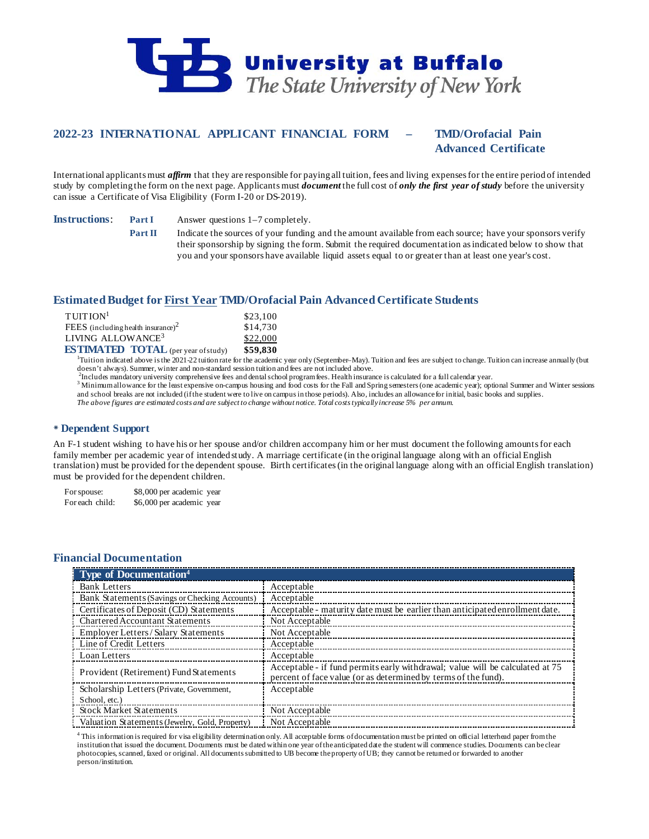

# **2022-23 INTERNATIONAL APPLICANT FINANCIAL FORM – TMD/Orofacial Pain**

## **Advanced Certificate**

International applicants must *affirm* that they are responsible for paying all tuition, fees and living expenses for the entire period of intended study by completing the form on the next page. Applicants must *document* the full cost of *only the first year of study* before the university can issue a Certificate of Visa Eligibility (Form I-20 or DS-2019).

**Instructions**: **Part I** Answer questions 1–7 completely.

**Part II** Indicate the sources of your funding and the amount available from each source; have your sponsors verify their sponsorship by signing the form. Submit the required documentation as indicated below to show that you and your sponsors have available liquid assets equal to or greater than at least one year's cost.

## **Estimated Budget for First Year TMD/Orofacial Pain Advanced Certificate Students**

| $T$ UITION <sup>1</sup>                        | \$23,100 |
|------------------------------------------------|----------|
| FEES (including health insurance) <sup>2</sup> | \$14,730 |
| LIVING ALLOWANCE <sup>3</sup>                  | \$22,000 |
| <b>ESTIMATED TOTAL</b> (per year of study)     | \$59.830 |

**ESTIMATED TOTAL** (per year of study) \$59,830<br><sup>1</sup>Tuition indicated above is the 2021-22 tuition rate for the academic year only (September–May). Tuition and fees are subject to change. Tuition can increase annually (but doesn't always). Summer, winter and non-standard session tuition and fees are not included above.<br><sup>2</sup>Includes mandatory university comprehensive fees and dental school program fees. Health insurance is calculated for a ful

3 Minimum allowance for the least expensive on-campus housing and food costs for the Fall and Spring semesters (one academic year); optional Summer and Winter sessions and school breaks are not included (if the student were to live on campus in those periods). Also, includes an allowance for initial, basic books and supplies. *The above figures are estimated costs and are subject to change without notice. Total costs typically increase 5% per annum.*

### **Dependent Support**

An F-1 student wishing to have his or her spouse and/or children accompany him or her must document the following amounts for each family member per academic year of intended study. A marriage certificate (in the original language along with an official English translation) must be provided for the dependent spouse. Birth certificates (in the original language along with an official English translation) must be provided for the dependent children.

For spouse: \$8,000 per academic year For each child: \$6,000 per academic year

## **Financial Documentation**

| <b>Type of Documentation</b> <sup>4</sup>      |                                                                                                                                                 |
|------------------------------------------------|-------------------------------------------------------------------------------------------------------------------------------------------------|
| <b>Bank Letters</b>                            | Acceptable                                                                                                                                      |
| Bank Statements (Savings or Checking Accounts) | Acceptable                                                                                                                                      |
| Certificates of Deposit (CD) Statements        | Acceptable - maturity date must be earlier than anticipated enrollment date.                                                                    |
| Chartered Accountant Statements                | Not Acceptable                                                                                                                                  |
| Employer Letters/Salary Statements             | Not Acceptable                                                                                                                                  |
| Line of Credit Letters                         | Acceptable                                                                                                                                      |
| Loan Letters                                   | Acceptable                                                                                                                                      |
| Provident (Retirement) Fund Statements         | Acceptable - if fund permits early withdrawal; value will be calculated at 75<br>percent of face value (or as determined by terms of the fund). |
| Scholarship Letters (Private, Government,      | Acceptable                                                                                                                                      |
| School, etc.)                                  |                                                                                                                                                 |
| <b>Stock Market Statements</b>                 | Not Acceptable                                                                                                                                  |
| Valuation Statements (Jewelry, Gold, Property) | Not Acceptable                                                                                                                                  |

<sup>4</sup> This information is required for visa eligibility determination only. All acceptable forms of documentation must be printed on official letterhead paper from the institution that issued the document. Documents must be dated within one year of the anticipated date the student will commence studies. Documents can be clear photocopies, scanned, faxed or original. All documents submitted to UB become the property of UB; they cannot be returned or forwarded to another person/institution.